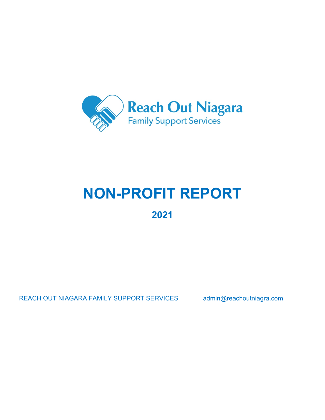

# **NON-PROFIT REPORT 2021**

REACH OUT NIAGARA FAMILY SUPPORT SERVICES admin@reachoutniagra.com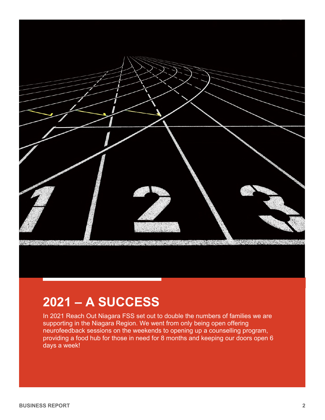

## **2021 – A SUCCESS**

In 2021 Reach Out Niagara FSS set out to double the numbers of families we are supporting in the Niagara Region. We went from only being open offering neurofeedback sessions on the weekends to opening up a counselling program, providing a food hub for those in need for 8 months and keeping our doors open 6 days a week!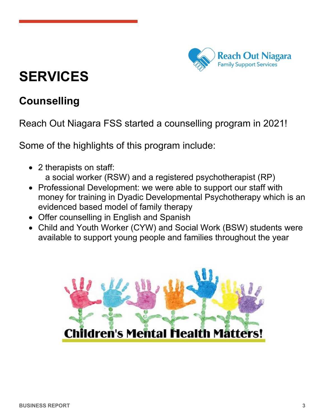

# **SERVICES**

### **Counselling**

Reach Out Niagara FSS started a counselling program in 2021!

Some of the highlights of this program include:

- 2 therapists on staff: a social worker (RSW) and a registered psychotherapist (RP)
- Professional Development: we were able to support our staff with money for training in Dyadic Developmental Psychotherapy which is an evidenced based model of family therapy
- Offer counselling in English and Spanish
- Child and Youth Worker (CYW) and Social Work (BSW) students were available to support young people and families throughout the year

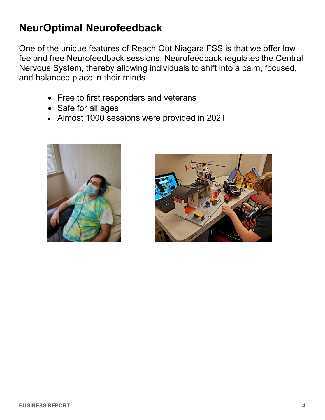### **NeurOptimal Neurofeedback**

One of the unique features of Reach Out Niagara FSS is that we offer low fee and free Neurofeedback sessions. Neurofeedback regulates the Central Nervous System, thereby allowing individuals to shift into a calm, focused, and balanced place in their minds.

- Free to first responders and veterans
- Safe for all ages
- Almost 1000 sessions were provided in 2021



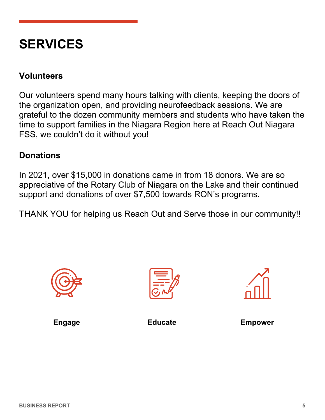## **SERVICES**

#### **Volunteers**

Our volunteers spend many hours talking with clients, keeping the doors of the organization open, and providing neurofeedback sessions. We are grateful to the dozen community members and students who have taken the time to support families in the Niagara Region here at Reach Out Niagara FSS, we couldn't do it without you!

#### **Donations**

In 2021, over \$15,000 in donations came in from 18 donors. We are so appreciative of the Rotary Club of Niagara on the Lake and their continued support and donations of over \$7,500 towards RON's programs.

THANK YOU for helping us Reach Out and Serve those in our community!!







**Engage Educate Empower**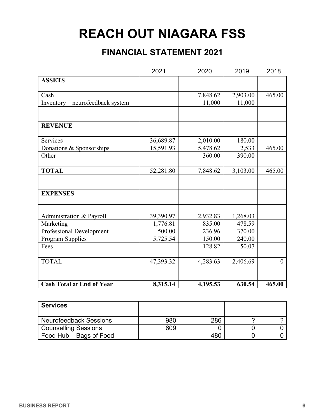## **REACH OUT NIAGARA FSS**

### **FINANCIAL STATEMENT 2021**

|                                  | 2021      | 2020     | 2019     | 2018   |
|----------------------------------|-----------|----------|----------|--------|
| <b>ASSETS</b>                    |           |          |          |        |
| Cash                             |           | 7,848.62 | 2,903.00 | 465.00 |
| Inventory - neurofeedback system |           | 11,000   | 11,000   |        |
|                                  |           |          |          |        |
| <b>REVENUE</b>                   |           |          |          |        |
| Services                         | 36,689.87 | 2,010.00 | 180.00   |        |
| Donations & Sponsorships         | 15,591.93 | 5,478.62 | 2,533    | 465.00 |
| Other                            |           | 360.00   | 390.00   |        |
| <b>TOTAL</b>                     | 52,281.80 | 7,848.62 | 3,103.00 | 465.00 |
|                                  |           |          |          |        |
| <b>EXPENSES</b>                  |           |          |          |        |
| Administration & Payroll         | 39,390.97 | 2,932.83 | 1,268.03 |        |
| Marketing                        | 1,776.81  | 835.00   | 478.59   |        |
| Professional Development         | 500.00    | 236.96   | 370.00   |        |
| Program Supplies                 | 5,725.54  | 150.00   | 240.00   |        |
| Fees                             |           | 128.82   | 50.07    |        |
| <b>TOTAL</b>                     | 47,393.32 | 4,283.63 | 2,406.69 |        |
| <b>Cash Total at End of Year</b> | 8,315.14  | 4,195.53 | 630.54   | 465.00 |

| <b>Services</b>               |     |     |  |
|-------------------------------|-----|-----|--|
|                               |     |     |  |
| <b>Neurofeedback Sessions</b> | 980 | 286 |  |
| <b>Counselling Sessions</b>   | 609 |     |  |
| Food Hub - Bags of Food       |     |     |  |